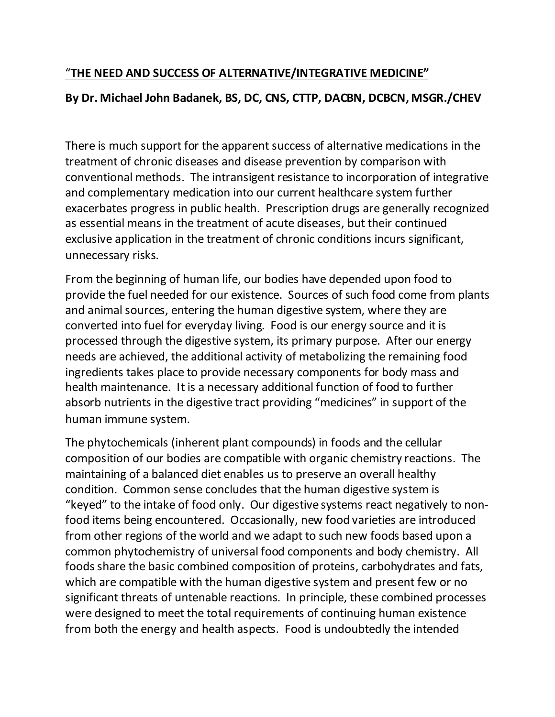## "**THE NEED AND SUCCESS OF ALTERNATIVE/INTEGRATIVE MEDICINE"**

## **By Dr. Michael John Badanek, BS, DC, CNS, CTTP, DACBN, DCBCN, MSGR./CHEV**

There is much support for the apparent success of alternative medications in the treatment of chronic diseases and disease prevention by comparison with conventional methods. The intransigent resistance to incorporation of integrative and complementary medication into our current healthcare system further exacerbates progress in public health. Prescription drugs are generally recognized as essential means in the treatment of acute diseases, but their continued exclusive application in the treatment of chronic conditions incurs significant, unnecessary risks.

From the beginning of human life, our bodies have depended upon food to provide the fuel needed for our existence. Sources of such food come from plants and animal sources, entering the human digestive system, where they are converted into fuel for everyday living. Food is our energy source and it is processed through the digestive system, its primary purpose. After our energy needs are achieved, the additional activity of metabolizing the remaining food ingredients takes place to provide necessary components for body mass and health maintenance. It is a necessary additional function of food to further absorb nutrients in the digestive tract providing "medicines" in support of the human immune system.

The phytochemicals (inherent plant compounds) in foods and the cellular composition of our bodies are compatible with organic chemistry reactions. The maintaining of a balanced diet enables us to preserve an overall healthy condition. Common sense concludes that the human digestive system is "keyed" to the intake of food only. Our digestive systems react negatively to nonfood items being encountered. Occasionally, new food varieties are introduced from other regions of the world and we adapt to such new foods based upon a common phytochemistry of universal food components and body chemistry. All foods share the basic combined composition of proteins, carbohydrates and fats, which are compatible with the human digestive system and present few or no significant threats of untenable reactions. In principle, these combined processes were designed to meet the total requirements of continuing human existence from both the energy and health aspects. Food is undoubtedly the intended